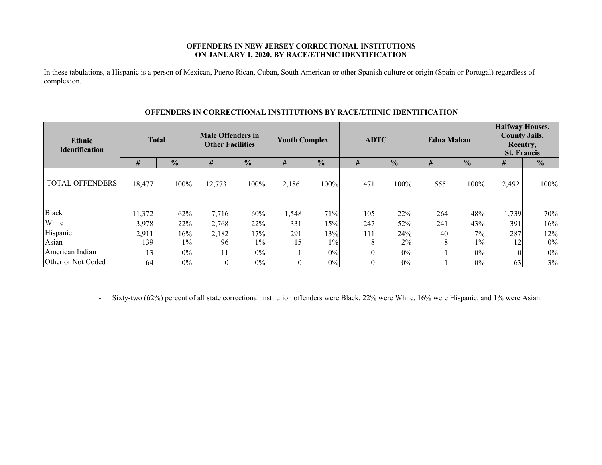### **OFFENDERS IN NEW JERSEY CORRECTIONAL INSTITUTIONS ON JANUARY 1, 2020, BY RACE/ETHNIC IDENTIFICATION**

In these tabulations, a Hispanic is a person of Mexican, Puerto Rican, Cuban, South American or other Spanish culture or origin (Spain or Portugal) regardless of complexion.

| <b>Total</b><br>Ethnic<br><b>Identification</b> |        | <b>Male Offenders in</b><br><b>Other Facilities</b> |        | <b>Youth Complex</b> |       | <b>ADTC</b>   |     | <b>Edna Mahan</b> |     | <b>Halfway Houses,</b><br><b>County Jails,</b><br>Reentry,<br><b>St. Francis</b> |       |               |
|-------------------------------------------------|--------|-----------------------------------------------------|--------|----------------------|-------|---------------|-----|-------------------|-----|----------------------------------------------------------------------------------|-------|---------------|
|                                                 | #      | $\frac{1}{2}$                                       | #      | $\frac{0}{0}$        | #     | $\frac{0}{0}$ | #   | $\frac{0}{0}$     | #   | $\frac{0}{0}$                                                                    | #     | $\frac{0}{0}$ |
| <b>TOTAL OFFENDERS</b>                          | 18,477 | 100%                                                | 12,773 | 100%                 | 2,186 | 100%          | 471 | 100%              | 555 | 100%                                                                             | 2,492 | 100%          |
| <b>Black</b>                                    | 11,372 | 62%                                                 | 7,716  | 60%                  | 1,548 | 71%           | 105 | 22%               | 264 | 48%                                                                              | 1,739 | 70%           |
| White                                           | 3,978  | 22%                                                 | 2,768  | 22%                  | 331   | 15%           | 247 | 52%               | 241 | 43%                                                                              | 391   | 16%           |
| Hispanic                                        | 2,911  | 16%                                                 | 2,182  | 17%                  | 291   | 13%           | 111 | 24%               | 40  | 7%                                                                               | 287   | 12%           |
| Asian                                           | 139    | $1\%$                                               | 96     | $1\%$                | 15    | $1\%$         | 8   | 2%                | 8   | $1\%$                                                                            | 12    | 0%            |
| American Indian                                 | 13     | 0%                                                  | 11     | 0%                   |       | 0%            |     | $0\%$             |     | 0%                                                                               |       | $0\%$         |
| Other or Not Coded                              | 64     | 0%                                                  | 0      | $0\%$                |       | 0%            |     | $0\%$             |     | 0%                                                                               | 63    | 3%            |

### **OFFENDERS IN CORRECTIONAL INSTITUTIONS BY RACE/ETHNIC IDENTIFICATION**

-Sixty-two (62%) percent of all state correctional institution offenders were Black, 22% were White, 16% were Hispanic, and 1% were Asian.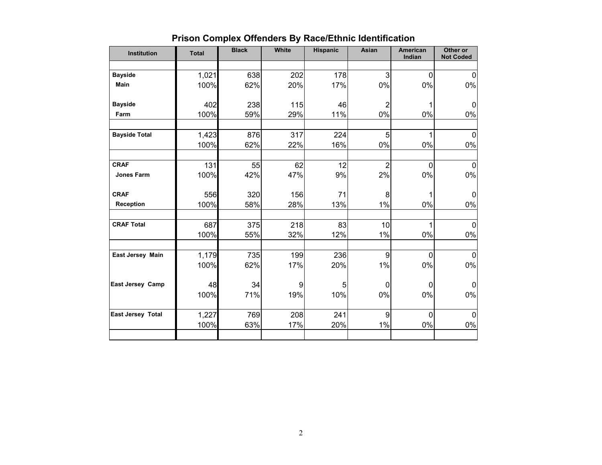| <b>Institution</b>       | <b>Total</b> | <b>Black</b> | White | <b>Hispanic</b> | Asian          | American<br>Indian | Other or<br><b>Not Coded</b> |
|--------------------------|--------------|--------------|-------|-----------------|----------------|--------------------|------------------------------|
|                          |              |              |       |                 |                |                    |                              |
| <b>Bayside</b>           | 1,021        | 638          | 202   | 178             | 3              | $\mathbf 0$        | $\mathbf 0$                  |
| <b>Main</b>              | 100%         | 62%          | 20%   | 17%             | $0\%$          | 0%                 | 0%                           |
| <b>Bayside</b>           | 402          | 238          | 115   | 46              | $\overline{2}$ |                    | 0                            |
| Farm                     | 100%         | 59%          | 29%   | 11%             | $0\%$          | 0%                 | 0%                           |
| <b>Bayside Total</b>     | 1,423        | 876          | 317   | 224             | 5              | 1                  | $\mathbf 0$                  |
|                          | 100%         | 62%          | 22%   | 16%             | $0\%$          | 0%                 | 0%                           |
|                          |              |              |       |                 |                |                    |                              |
| <b>CRAF</b>              | 131          | 55           | 62    | 12              | $\overline{2}$ | $\mathbf 0$        | 0                            |
| <b>Jones Farm</b>        | 100%         | 42%          | 47%   | 9%              | 2%             | 0%                 | 0%                           |
| <b>CRAF</b>              | 556          | 320          | 156   | 71              | 8              | 1                  | 0                            |
| Reception                | 100%         | 58%          | 28%   | 13%             | $1\%$          | 0%                 | 0%                           |
| <b>CRAF Total</b>        |              |              |       |                 |                |                    |                              |
|                          | 687          | 375          | 218   | 83              | 10<br>$1\%$    | 1<br>0%            | 0<br>0%                      |
|                          | 100%         | 55%          | 32%   | 12%             |                |                    |                              |
| East Jersey Main         | 1,179        | 735          | 199   | 236             | 9              | $\mathbf 0$        | 0                            |
|                          | 100%         | 62%          | 17%   | 20%             | 1%             | $0\%$              | 0%                           |
| <b>East Jersey Camp</b>  | 48           | 34           | 9     | 5               | $\mathbf 0$    | 0                  | 0                            |
|                          | 100%         | 71%          | 19%   | 10%             | 0%             | 0%                 | 0%                           |
| <b>East Jersey Total</b> | 1,227        | 769          | 208   | 241             | 9              | $\mathbf 0$        | 0                            |
|                          | 100%         | 63%          | 17%   | 20%             | $1\%$          | $0\%$              | $0\%$                        |
|                          |              |              |       |                 |                |                    |                              |

# **Prison Complex Offenders By Race/Ethnic Identification**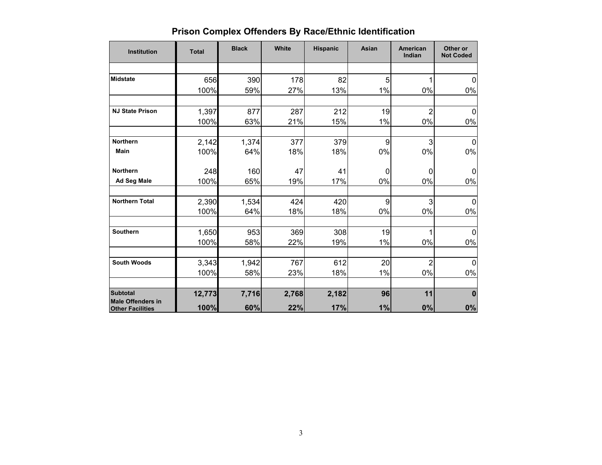|  | <b>Prison Complex Offenders By Race/Ethnic Identification</b> |
|--|---------------------------------------------------------------|
|--|---------------------------------------------------------------|

| <b>Institution</b>                                  | <b>Total</b> | <b>Black</b> | White | <b>Hispanic</b> | Asian       | <b>American</b><br>Indian | Other or<br><b>Not Coded</b> |
|-----------------------------------------------------|--------------|--------------|-------|-----------------|-------------|---------------------------|------------------------------|
|                                                     |              |              |       |                 |             |                           |                              |
| <b>Midstate</b>                                     | 656          | 390          | 178   | 82              | 5           |                           | $\Omega$                     |
|                                                     | 100%         | 59%          | 27%   | 13%             | 1%          | 0%                        | $0\%$                        |
| <b>NJ State Prison</b>                              | 1,397        | 877          | 287   | 212             | 19          | $\overline{c}$            | 0                            |
|                                                     | 100%         | 63%          | 21%   | 15%             | 1%          | 0%                        | 0%                           |
| <b>Northern</b>                                     | 2,142        | 1,374        | 377   | 379             | 9           | 3                         | $\mathbf 0$                  |
| <b>Main</b>                                         | 100%         | 64%          | 18%   | 18%             | 0%          | 0%                        | 0%                           |
| <b>Northern</b>                                     | 248          | 160          | 47    | 41              | $\mathbf 0$ | 0                         | 0                            |
| Ad Seg Male                                         | 100%         | 65%          | 19%   | 17%             | 0%          | 0%                        | 0%                           |
| <b>Northern Total</b>                               | 2,390        | 1,534        | 424   | 420             | 9           | 3                         | $\mathbf 0$                  |
|                                                     | 100%         | 64%          | 18%   | 18%             | 0%          | 0%                        | $0\%$                        |
| <b>Southern</b>                                     | 1,650        | 953          | 369   | 308             | 19          | 1                         | $\mathbf{0}$                 |
|                                                     | 100%         | 58%          | 22%   | 19%             | $1\%$       | 0%                        | 0%                           |
| <b>South Woods</b>                                  | 3,343        | 1,942        | 767   | 612             | 20          | $\overline{2}$            | $\mathbf 0$                  |
|                                                     | 100%         | 58%          | 23%   | 18%             | 1%          | 0%                        | $0\%$                        |
| <b>Subtotal</b>                                     | 12,773       | 7,716        | 2,768 | 2,182           | 96          | 11                        | 0                            |
| <b>Male Offenders in</b><br><b>Other Facilities</b> | 100%         | 60%          | 22%   | 17%             | 1%          | 0%                        | $0\%$                        |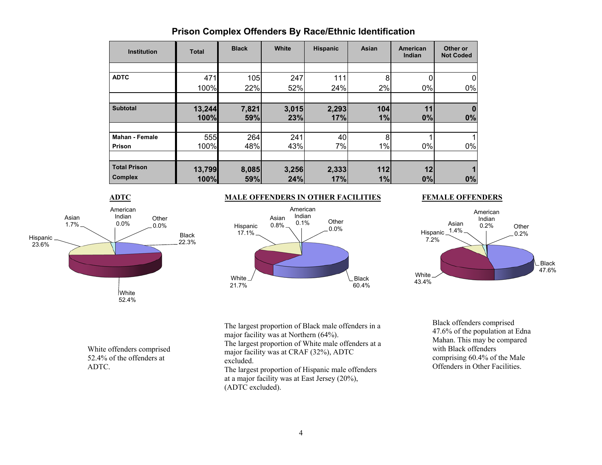| <b>Institution</b>    | <b>Total</b> | <b>Black</b> | White | <b>Hispanic</b> | Asian | <b>American</b><br>Indian | Other or<br><b>Not Coded</b> |
|-----------------------|--------------|--------------|-------|-----------------|-------|---------------------------|------------------------------|
|                       |              |              |       |                 |       |                           |                              |
| <b>ADTC</b>           | 471          | 105          | 247   | 111             | 8     |                           |                              |
|                       | 100%         | 22%          | 52%   | 24%             | 2%    | 0%                        | 0%                           |
|                       |              |              |       |                 |       |                           |                              |
| <b>Subtotal</b>       | 13,244       | 7,821        | 3,015 | 2,293           | 104   | 11                        |                              |
|                       | 100%         | 59%          | 23%   | 17%             | 1%    | 0%                        | 0%                           |
|                       |              |              |       |                 |       |                           |                              |
| <b>Mahan - Female</b> | 555          | 264          | 241   | 40              | 8     |                           |                              |
| Prison                | 100%         | 48%          | 43%   | 7%              | 1%    | 0%                        | 0%                           |
|                       |              |              |       |                 |       |                           |                              |
| <b>Total Prison</b>   | 13,799       | 8,085        | 3,256 | 2,333           | 112   | 12                        |                              |
| <b>Complex</b>        | 100%         | 59%          | 24%   | 17%             | 1%    | 0%                        | 0%                           |

## **Prison Complex Offenders By Race/Ethnic Identification**



White offenders comprised 52.4% of the offenders at

ADTC.

### **MALE OFFENDERS IN OTHER FACILITIES FEMALE OFFENDERS**





The largest proportion of Black male offenders in a major facility was at Northern (64%).

The largest proportion of White male offenders at a major facility was at CRAF (32%), ADTC excluded.

The largest proportion of Hispanic male offenders at a major facility was at East Jersey (20%), (ADTC excluded).

Black offenders comprised 47.6% of the population at Edna Mahan. This may be compared with Black offenders comprising 60.4% of the Male Offenders in Other Facilities.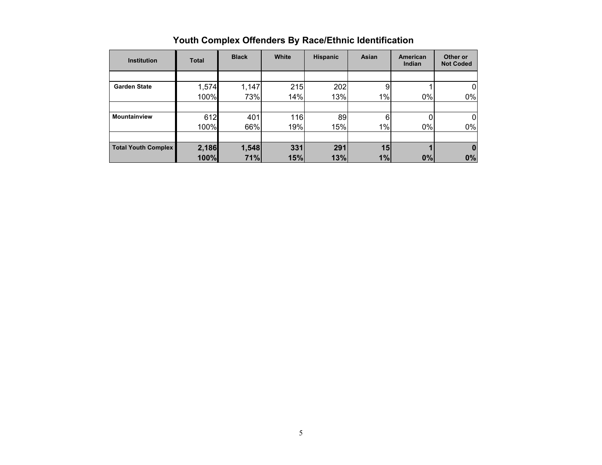| <b>Institution</b>         | <b>Total</b> | <b>Black</b> | White | <b>Hispanic</b> | Asian | American<br>Indian | Other or<br><b>Not Coded</b> |
|----------------------------|--------------|--------------|-------|-----------------|-------|--------------------|------------------------------|
|                            |              |              |       |                 |       |                    |                              |
| <b>Garden State</b>        | 1,574        | 1,147        | 215   | 202             | 9     |                    | 0                            |
|                            | 100%         | 73%          | 14%   | 13%             | 1%    | 0%                 | $0\%$                        |
|                            |              |              |       |                 |       |                    |                              |
| <b>Mountainview</b>        | 612          | 401          | 116   | 89              | 6     |                    | $\Omega$                     |
|                            | 100%         | 66%          | 19%   | 15%             | 1%    | 0%                 | $0\%$                        |
|                            |              |              |       |                 |       |                    |                              |
| <b>Total Youth Complex</b> | 2,186        | 1,548        | 331   | 291             | 15    |                    | 0                            |
|                            | 100%         | 71%          | 15%   | 13%             | 1%    | 0%                 | 0%                           |

## **Youth Complex Offenders By Race/Ethnic Identification**